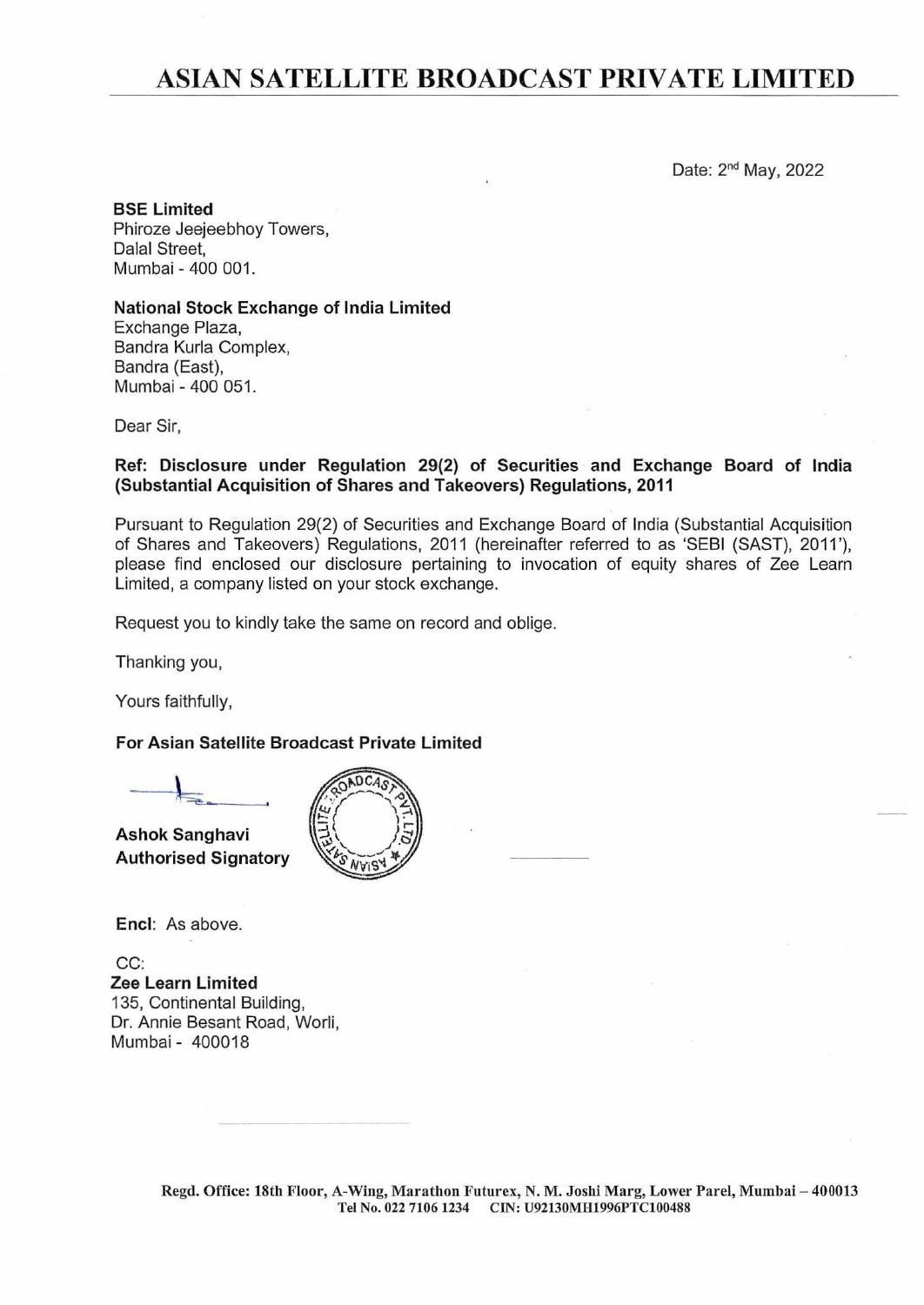# ASIAN **SATELLITE BROADCAST PRIVATE LIMITED**

Date: 2nd May, 2022

BSE Limited Phiroze Jeejeebhoy Towers, Dalal Street, Mumbai - 400 001.

National Stock Exchange of India Limited

Exchange Plaza, Bandra Kurla Complex, Bandra (East), Mumbai - 400 051.

Dear Sir,

#### Ref: Disclosure under Regulation 29(2) of Securities and Exchange Board of India (Substantial Acquisition of Shares and Takeovers) Regulations, 2011

Pursuant to Regulation 29(2) of Securities and Exchange Board of India (Substantial Acquisition of Shares and Takeovers) Regulations, 2011 (hereinafter referred to as 'SEBI (SAST), 2011 '), please find enclosed our disclosure pertaining to invocation of equity shares of Zee Learn Limited, a company listed on your stock exchange.

Request you to kindly take the same on record and oblige.

Thanking you,

Yours faithfully,

## For Asian Satellite Broadcast Private Limited

Ashok Sanghavi Authorised Signatory



Encl: As above.

CC: Zee Learn Limited 135, Continental Building, Dr. Annie Besant Road, Worli, Mumbai - 400018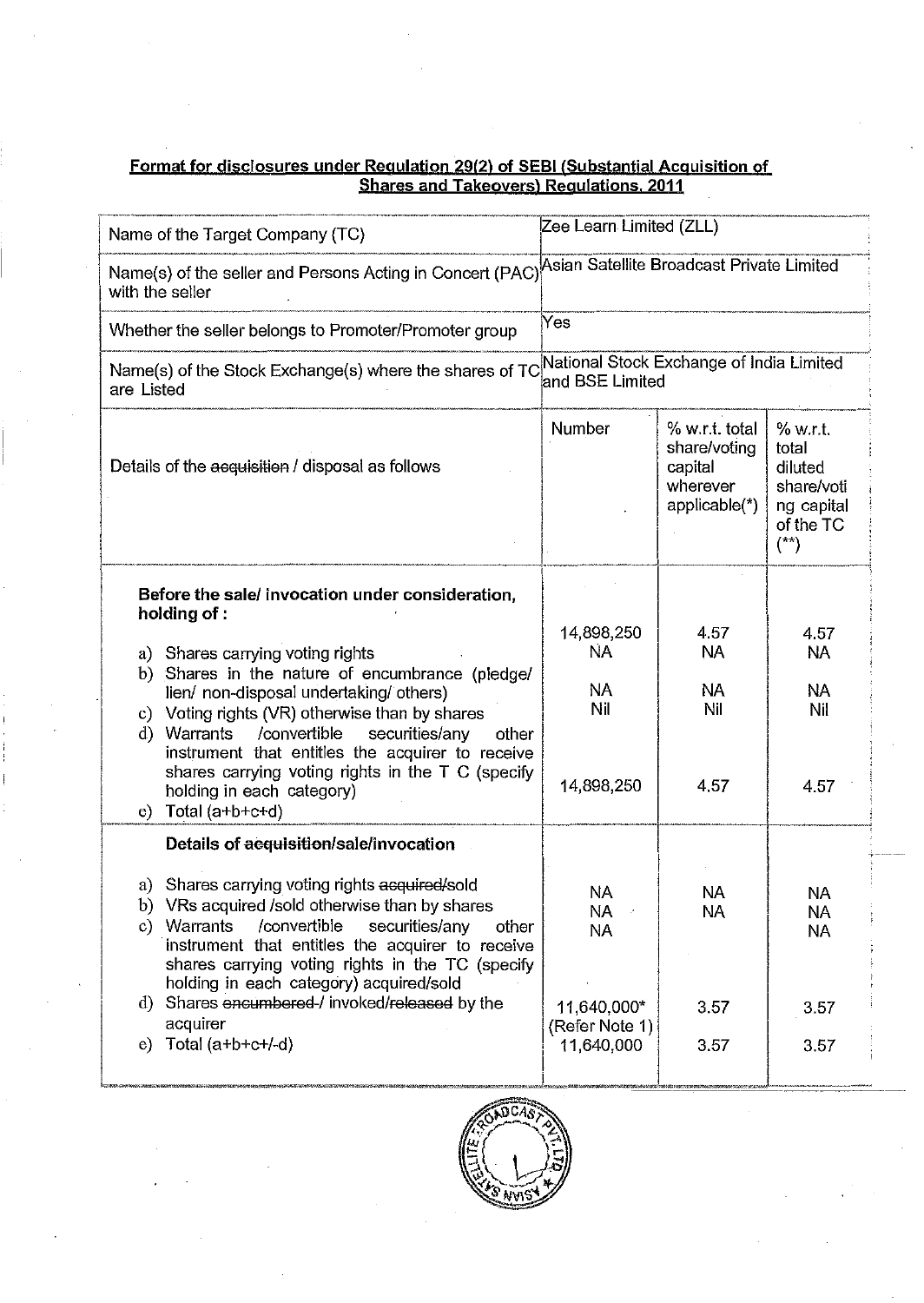## Format for disclosures under Regulation 29(2) of SEBI (Substantial Acguisition of Shares and Takeovers) Regulations. 2011

| Name of the Target Company (TC)                                                                                                                                                                                                                                       | Zee Learn Limited (ZLL)                   |                                                                        |                                                                                           |  |  |  |
|-----------------------------------------------------------------------------------------------------------------------------------------------------------------------------------------------------------------------------------------------------------------------|-------------------------------------------|------------------------------------------------------------------------|-------------------------------------------------------------------------------------------|--|--|--|
| Name(s) of the seller and Persons Acting in Concert (PAC)<br>with the seller                                                                                                                                                                                          | Asian Satellite Broadcast Private Limited |                                                                        |                                                                                           |  |  |  |
| Whether the seller belongs to Promoter/Promoter group                                                                                                                                                                                                                 | Yes                                       |                                                                        |                                                                                           |  |  |  |
| National Stock Exchange of India Limited<br>Name(s) of the Stock Exchange(s) where the shares of TC<br>and BSE Limited<br>are Listed                                                                                                                                  |                                           |                                                                        |                                                                                           |  |  |  |
| Details of the acquisition / disposal as follows                                                                                                                                                                                                                      | Number                                    | % w.r.t. total<br>share/voting<br>capital<br>wherever<br>applicable(*) | % w.r.t.<br>total<br>diluted<br>share/voti<br>ng capital<br>of the TC<br>$(\overline{z})$ |  |  |  |
| Before the sale/ invocation under consideration,<br>holding of :                                                                                                                                                                                                      | 14,898,250                                | 4.57                                                                   | 4.57                                                                                      |  |  |  |
| a) Shares carrying voting rights<br>b) Shares in the nature of encumbrance (pledge/<br>lien/ non-disposal undertaking/ others)<br>c) Voting rights (VR) otherwise than by shares                                                                                      | ŃA<br>NA<br>Nil                           | <b>NA</b><br>NA.<br>Nil                                                | <b>NA</b><br><b>NA</b><br>Nil                                                             |  |  |  |
| /convertible<br>securities/any<br>d) Warrants<br>other<br>instrument that entitles the acquirer to receive<br>shares carrying voting rights in the T C (specify<br>holding in each category)<br>Total (a+b+c+d)<br>e)                                                 | 14,898,250                                | 4.57                                                                   | 4.57                                                                                      |  |  |  |
| Details of acquisition/sale/invocation                                                                                                                                                                                                                                |                                           |                                                                        |                                                                                           |  |  |  |
| a) Shares carrying voting rights acquired/sold<br>b) VRs acquired /sold otherwise than by shares<br>/convertible<br>Warrants<br>securities/any<br>c)<br>other<br>instrument that entitles the acquirer to receive<br>shares carrying voting rights in the TC (specify | <b>NA</b><br><b>NA</b><br><b>NA</b>       | <b>NA</b><br><b>NA</b>                                                 | <b>NA</b><br>NA.<br><b>NA</b>                                                             |  |  |  |
| holding in each category) acquired/sold<br>d) Shares encumbered-/ invoked/released by the<br>acquirer                                                                                                                                                                 | 11,640,000*<br>(Refer Note 1)             | 3.57                                                                   | 3.57                                                                                      |  |  |  |
| Total (a+b+c+/-d)<br>e)                                                                                                                                                                                                                                               | 11,640,000                                | 3.57                                                                   | 3.57                                                                                      |  |  |  |

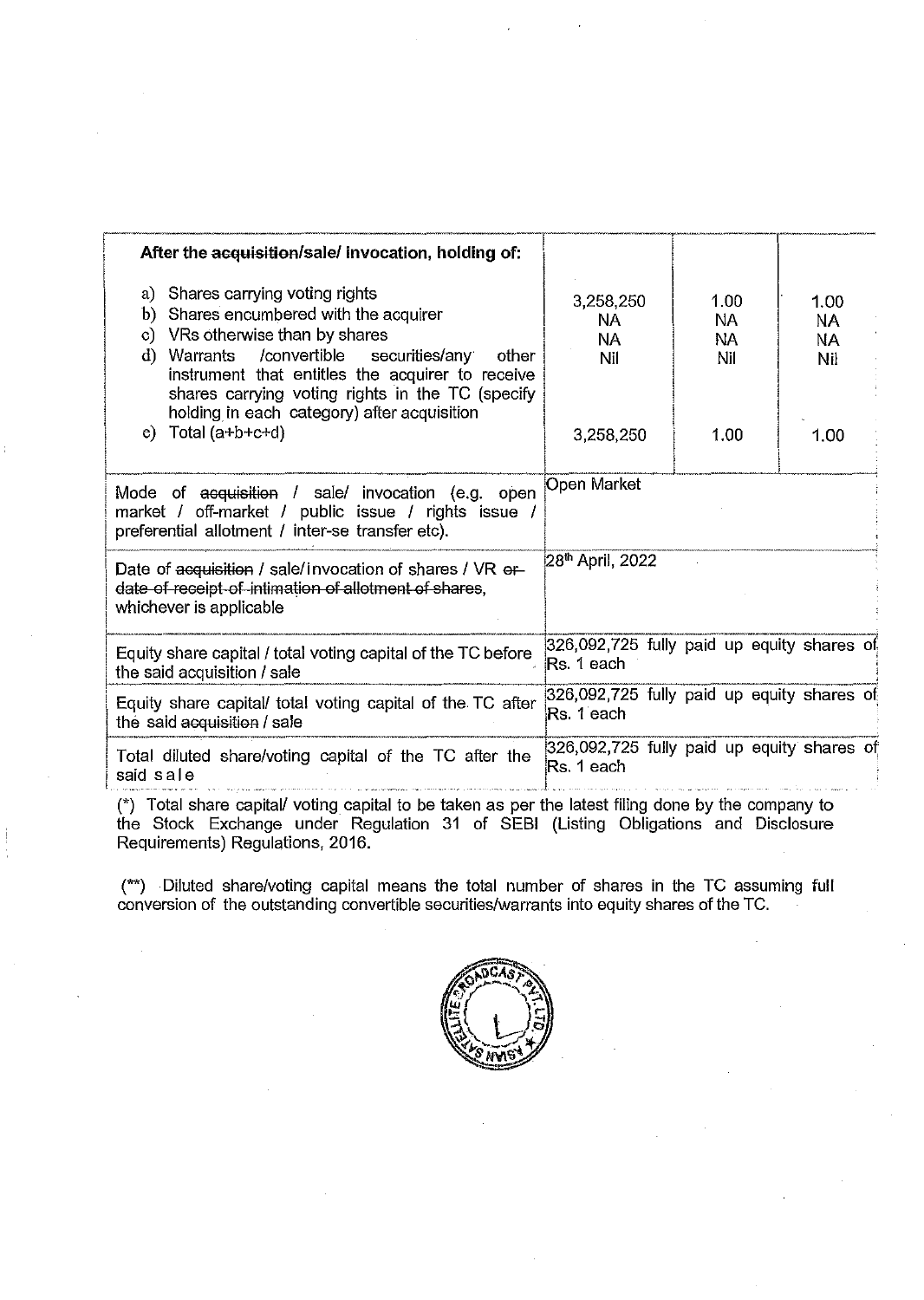| After the acquisition/sale/ invocation, holding of:                                                                                                                                                                                                                                                                                            |                                                          |                                       |  |                                       |  |
|------------------------------------------------------------------------------------------------------------------------------------------------------------------------------------------------------------------------------------------------------------------------------------------------------------------------------------------------|----------------------------------------------------------|---------------------------------------|--|---------------------------------------|--|
| a) Shares carrying voting rights<br>b) Shares encumbered with the acquirer<br>VRs otherwise than by shares<br>$\mathbf{c}$<br>/convertible<br>d)<br>securities/any<br>Warrants<br>other<br>instrument that entitles the acquirer to receive<br>shares carrying voting rights in the TC (specify<br>holding in each category) after acquisition | 3,258,250<br>NA.<br><b>NA</b><br>Nil                     | 1.00<br><b>NA</b><br><b>NA</b><br>Nil |  | 1.00<br><b>NA</b><br><b>NA</b><br>Nil |  |
| $e)$ Total (a+b+c+d)                                                                                                                                                                                                                                                                                                                           | 3,258,250                                                | 1.00                                  |  | 1.00                                  |  |
| Mode of acquisition / sale/ invocation (e.g. open<br>market / off-market / public issue / rights issue /<br>preferential allotment / inter-se transfer etc).                                                                                                                                                                                   | <b>Open Market</b>                                       |                                       |  |                                       |  |
| Date of acquisition / sale/invocation of shares / VR or<br>date of receipt of intimation of allotment of shares,<br>whichever is applicable                                                                                                                                                                                                    | 28 <sup>th</sup> April, 2022                             |                                       |  |                                       |  |
| Equity share capital / total voting capital of the TC before<br>the said acquisition / sale                                                                                                                                                                                                                                                    | 326,092,725 fully paid up equity shares of<br>Rs. 1 each |                                       |  |                                       |  |
| Equity share capital/ total voting capital of the TC after<br>the said acquisition / sale                                                                                                                                                                                                                                                      | 326,092,725 fully paid up equity shares of<br>Rs. 1 each |                                       |  |                                       |  |
| Total diluted share/voting capital of the TC after the<br>said sale                                                                                                                                                                                                                                                                            | 326,092,725 fully paid up equity shares of<br>Rs. 1 each |                                       |  |                                       |  |

(\*) Total share capital/ voting capital to be taken as per the latest filing done by the company to the Stock Exchange under Regulation 31 of SEBI (Listing Obligations and Disclosure Requirements) Regulations, 2016.

(\*\*) Diluted share/voting capital means the total number of shares in the TC assuming full conversion of the outstanding convertible securities/warrants into equity shares of the TC.